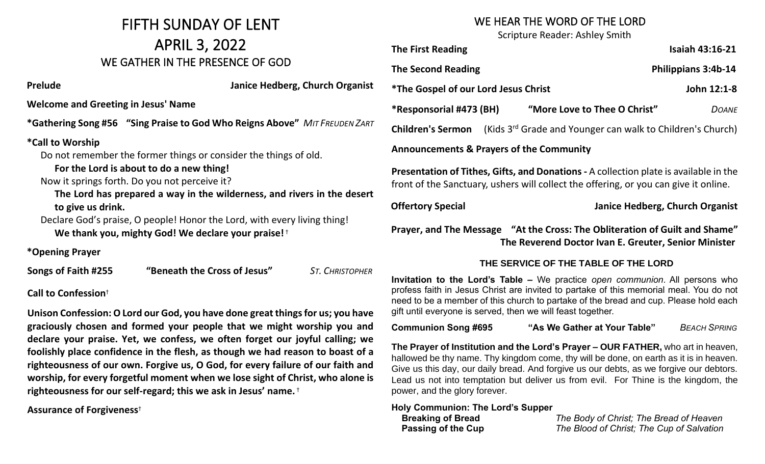### FIFTH SUNDAY OF LENT APRIL 3, 2022 WE GATHER IN THE PRESENCE OF GOD

**Prelude Contract Prelude Contract Prelude Structure In the UP of American American American American** American American American American American American American American American American American American American Am

**Welcome and Greeting in Jesus' Name**

**\*Gathering Song #56 "Sing Praise to God Who Reigns Above" MIT FREUDEN** 

#### **\*Call to Worship**

Do not remember the former things or consider the things of old.

#### **For the Lord is about to do a new thing!**

Now it springs forth. Do you not perceive it?

The Lord has prepared a way in the wilderness, and rivers in the de **to give us drink.**

Declare God's praise, O people! Honor the Lord, with every living thing! **We thank you, mighty God! We declare your praise!** †

**\*Opening Prayer**

**Songs of Faith #255 "Beneath the Cross of Jesus"** ST. CHRISTO

#### **Call to Confession**†

**Unison Confession: O Lord our God, you have done great things for us; you have graciously chosen and formed your people that we might worship you and declare your praise. Yet, we confess, we often forget our joyful calling; we foolishly place confidence in the flesh, as though we had reason to boast of a righteousness of our own. Forgive us, O God, for every failure of our faith and worship, for every forgetful moment when we lose sight of Christ, who alone is righteousness for our self-regard; this we ask in Jesus' name.** †

#### **Assurance of Forgiveness**†

#### WE HEAR THE WORD OF THE LORD

Scripture Reader: Ashley Smith

|       | <b>The First Reading</b>                                                                                                                                                      |                                 | <b>Isaiah 43:16-21</b> |  |
|-------|-------------------------------------------------------------------------------------------------------------------------------------------------------------------------------|---------------------------------|------------------------|--|
|       | <b>The Second Reading</b>                                                                                                                                                     | Philippians 3:4b-14             |                        |  |
| anist | <i><b>*The Gospel of our Lord Jesus Christ</b></i>                                                                                                                            |                                 | John 12:1-8            |  |
| ZART  |                                                                                                                                                                               |                                 | <b>DOANE</b>           |  |
|       | (Kids 3 <sup>rd</sup> Grade and Younger can walk to Children's Church)<br><b>Children's Sermon</b>                                                                            |                                 |                        |  |
|       | <b>Announcements &amp; Prayers of the Community</b>                                                                                                                           |                                 |                        |  |
| esert | Presentation of Tithes, Gifts, and Donations - A collection plate is available in the<br>front of the Sanctuary, ushers will collect the offering, or you can give it online. |                                 |                        |  |
|       | <b>Offertory Special</b>                                                                                                                                                      | Janice Hedberg, Church Organist |                        |  |
|       | Prayer, and The Message "At the Cross: The Obliteration of Guilt and Shame"<br>The Reverend Doctor Ivan E. Greuter, Senior Minister                                           |                                 |                        |  |
| PHER  | THE SERVICE OF THE TABLE OF THE LORD                                                                                                                                          |                                 |                        |  |
|       | Invitation to the Lord's Table - We practice open communion. All persons who                                                                                                  |                                 |                        |  |

profess faith in Jesus Christ are invited to partake of this memorial meal. You do not need to be a member of this church to partake of the bread and cup. Please hold each gift until everyone is served, then we will feast together.

**Communion Song #695 "As We Gather at Your Table"** *BEACH SPRING*

**The Prayer of Institution and the Lord's Prayer – OUR FATHER,** who art in heaven, hallowed be thy name. Thy kingdom come, thy will be done, on earth as it is in heaven. Give us this day, our daily bread. And forgive us our debts, as we forgive our debtors. Lead us not into temptation but deliver us from evil. For Thine is the kingdom, the power, and the glory forever.

#### **Holy Communion: The Lord's Supper**

 **Breaking of Bread** *The Body of Christ; The Bread of Heaven*  **Passing of the Cup** *The Blood of Christ; The Cup of Salvation*